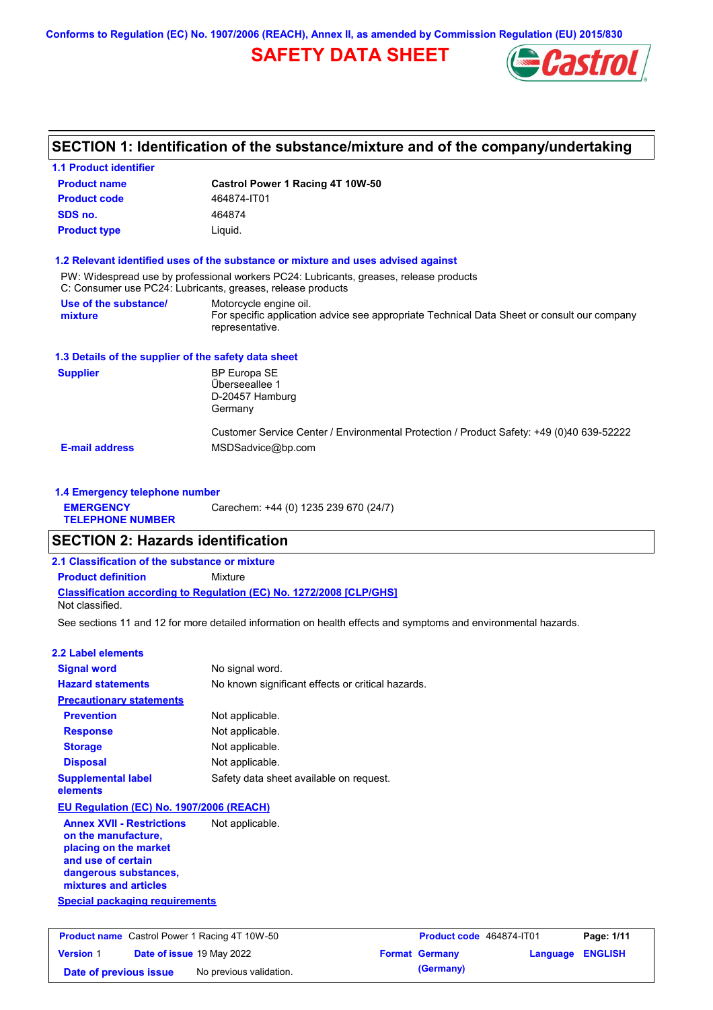**Conforms to Regulation (EC) No. 1907/2006 (REACH), Annex II, as amended by Commission Regulation (EU) 2015/830**

## **SAFETY DATA SHEET**



## **SECTION 1: Identification of the substance/mixture and of the company/undertaking**

| <b>1.1 Product identifier</b>                                                                                                                            |                                                                                                                                                       |            |  |  |
|----------------------------------------------------------------------------------------------------------------------------------------------------------|-------------------------------------------------------------------------------------------------------------------------------------------------------|------------|--|--|
| <b>Product name</b>                                                                                                                                      | Castrol Power 1 Racing 4T 10W-50                                                                                                                      |            |  |  |
| <b>Product code</b>                                                                                                                                      | 464874-IT01                                                                                                                                           |            |  |  |
| SDS no.                                                                                                                                                  | 464874                                                                                                                                                |            |  |  |
| <b>Product type</b><br>Liquid.                                                                                                                           |                                                                                                                                                       |            |  |  |
|                                                                                                                                                          | 1.2 Relevant identified uses of the substance or mixture and uses advised against                                                                     |            |  |  |
|                                                                                                                                                          | PW: Widespread use by professional workers PC24: Lubricants, greases, release products<br>C: Consumer use PC24: Lubricants, greases, release products |            |  |  |
| Use of the substance/<br>mixture                                                                                                                         | Motorcycle engine oil.<br>For specific application advice see appropriate Technical Data Sheet or consult our company<br>representative.              |            |  |  |
| 1.3 Details of the supplier of the safety data sheet                                                                                                     |                                                                                                                                                       |            |  |  |
| <b>Supplier</b>                                                                                                                                          | <b>BP Europa SE</b><br>Überseeallee 1<br>D-20457 Hamburg<br>Germany                                                                                   |            |  |  |
| <b>E-mail address</b>                                                                                                                                    | Customer Service Center / Environmental Protection / Product Safety: +49 (0)40 639-52222<br>MSDSadvice@bp.com                                         |            |  |  |
| 1.4 Emergency telephone number                                                                                                                           |                                                                                                                                                       |            |  |  |
| <b>EMERGENCY</b>                                                                                                                                         | Carechem: +44 (0) 1235 239 670 (24/7)                                                                                                                 |            |  |  |
| <b>TELEPHONE NUMBER</b>                                                                                                                                  |                                                                                                                                                       |            |  |  |
| <b>SECTION 2: Hazards identification</b>                                                                                                                 |                                                                                                                                                       |            |  |  |
| 2.1 Classification of the substance or mixture                                                                                                           |                                                                                                                                                       |            |  |  |
| <b>Product definition</b>                                                                                                                                | Mixture                                                                                                                                               |            |  |  |
| Not classified.                                                                                                                                          | Classification according to Regulation (EC) No. 1272/2008 [CLP/GHS]                                                                                   |            |  |  |
|                                                                                                                                                          | See sections 11 and 12 for more detailed information on health effects and symptoms and environmental hazards.                                        |            |  |  |
| <b>2.2 Label elements</b>                                                                                                                                |                                                                                                                                                       |            |  |  |
| <b>Signal word</b>                                                                                                                                       | No signal word.                                                                                                                                       |            |  |  |
| <b>Hazard statements</b>                                                                                                                                 | No known significant effects or critical hazards.                                                                                                     |            |  |  |
| <b>Precautionary statements</b>                                                                                                                          |                                                                                                                                                       |            |  |  |
| <b>Prevention</b>                                                                                                                                        | Not applicable.                                                                                                                                       |            |  |  |
| <b>Response</b>                                                                                                                                          | Not applicable.                                                                                                                                       |            |  |  |
| <b>Storage</b>                                                                                                                                           | Not applicable.                                                                                                                                       |            |  |  |
| <b>Disposal</b>                                                                                                                                          | Not applicable.                                                                                                                                       |            |  |  |
| <b>Supplemental label</b><br>elements                                                                                                                    | Safety data sheet available on request.                                                                                                               |            |  |  |
| EU Regulation (EC) No. 1907/2006 (REACH)                                                                                                                 |                                                                                                                                                       |            |  |  |
| <b>Annex XVII - Restrictions</b><br>on the manufacture,<br>placing on the market<br>and use of certain<br>dangerous substances,<br>mixtures and articles | Not applicable.                                                                                                                                       |            |  |  |
| <b>Special packaging requirements</b>                                                                                                                    |                                                                                                                                                       |            |  |  |
|                                                                                                                                                          |                                                                                                                                                       |            |  |  |
| Product name Castrol Power 1 Racing 4T 10W-50                                                                                                            | Product code 464874-IT01                                                                                                                              | Page: 1/11 |  |  |

**Date of issue** 19 May 2022 **Format Germany Language ENGLISH**

**Date of previous issue** No previous validation. **Community** (Germany)

**Version** 1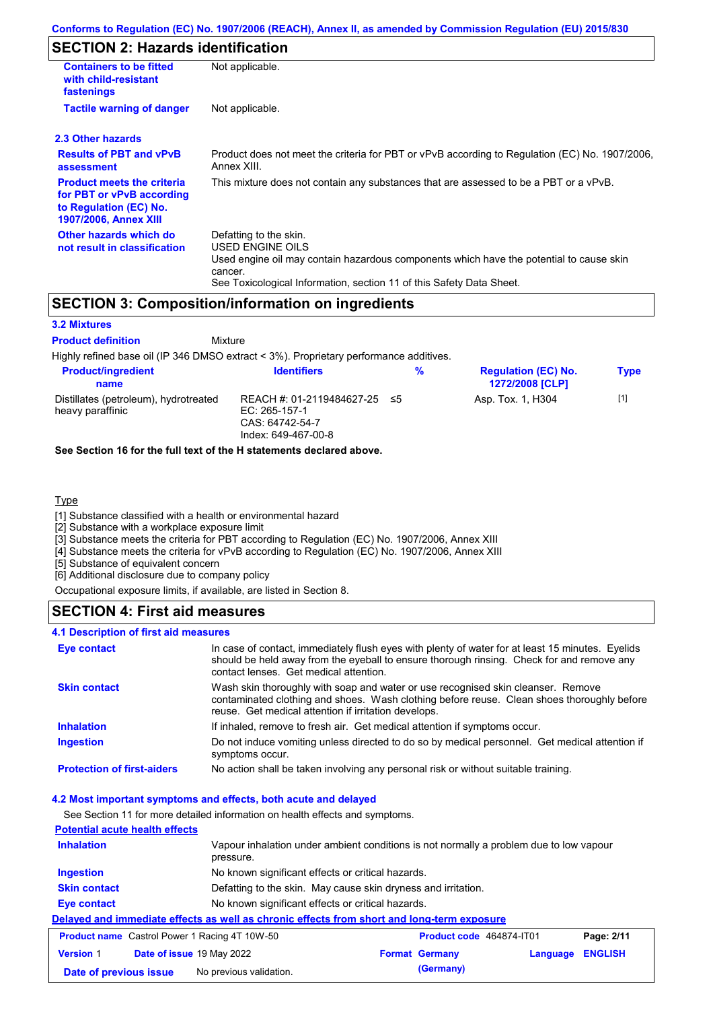## **SECTION 2: Hazards identification**

| <b>Containers to be fitted</b><br>with child-resistant<br>fastenings                                                     | Not applicable.                                                                                                                                                                                                          |  |  |
|--------------------------------------------------------------------------------------------------------------------------|--------------------------------------------------------------------------------------------------------------------------------------------------------------------------------------------------------------------------|--|--|
| <b>Tactile warning of danger</b><br>Not applicable.                                                                      |                                                                                                                                                                                                                          |  |  |
| 2.3 Other hazards                                                                                                        |                                                                                                                                                                                                                          |  |  |
| <b>Results of PBT and vPvB</b><br>assessment                                                                             | Product does not meet the criteria for PBT or vPvB according to Regulation (EC) No. 1907/2006,<br>Annex XIII.                                                                                                            |  |  |
| <b>Product meets the criteria</b><br>for PBT or vPvB according<br>to Regulation (EC) No.<br><b>1907/2006, Annex XIII</b> | This mixture does not contain any substances that are assessed to be a PBT or a vPvB.                                                                                                                                    |  |  |
| Other hazards which do<br>not result in classification                                                                   | Defatting to the skin.<br>USED ENGINE OILS<br>Used engine oil may contain hazardous components which have the potential to cause skin<br>cancer.<br>See Toxicological Information, section 11 of this Safety Data Sheet. |  |  |

## **SECTION 3: Composition/information on ingredients**

#### **3.2 Mixtures**

**Mixture Product definition**

Highly refined base oil (IP 346 DMSO extract < 3%). Proprietary performance additives. **Product/ingredient** 

| <b>Product/ingredient</b><br>name                         | <b>Identifiers</b>                                                                        | % | <b>Regulation (EC) No.</b><br><b>1272/2008 [CLP]</b> | Type  |  |
|-----------------------------------------------------------|-------------------------------------------------------------------------------------------|---|------------------------------------------------------|-------|--|
| Distillates (petroleum), hydrotreated<br>heavy paraffinic | REACH #: 01-2119484627-25 ≤5<br>EC: $265-157-1$<br>CAS: 64742-54-7<br>Index: 649-467-00-8 |   | Asp. Tox. 1, H304                                    | $[1]$ |  |

#### **See Section 16 for the full text of the H statements declared above.**

#### Type

[1] Substance classified with a health or environmental hazard

[2] Substance with a workplace exposure limit

[3] Substance meets the criteria for PBT according to Regulation (EC) No. 1907/2006, Annex XIII

[4] Substance meets the criteria for vPvB according to Regulation (EC) No. 1907/2006, Annex XIII

[5] Substance of equivalent concern

[6] Additional disclosure due to company policy

Occupational exposure limits, if available, are listed in Section 8.

### **SECTION 4: First aid measures**

#### **4.1 Description of first aid measures**

| <b>Eye contact</b>                | In case of contact, immediately flush eyes with plenty of water for at least 15 minutes. Eyelids<br>should be held away from the eyeball to ensure thorough rinsing. Check for and remove any<br>contact lenses. Get medical attention. |
|-----------------------------------|-----------------------------------------------------------------------------------------------------------------------------------------------------------------------------------------------------------------------------------------|
| <b>Skin contact</b>               | Wash skin thoroughly with soap and water or use recognised skin cleanser. Remove<br>contaminated clothing and shoes. Wash clothing before reuse. Clean shoes thoroughly before<br>reuse. Get medical attention if irritation develops.  |
| <b>Inhalation</b>                 | If inhaled, remove to fresh air. Get medical attention if symptoms occur.                                                                                                                                                               |
| <b>Ingestion</b>                  | Do not induce vomiting unless directed to do so by medical personnel. Get medical attention if<br>symptoms occur.                                                                                                                       |
| <b>Protection of first-aiders</b> | No action shall be taken involving any personal risk or without suitable training.                                                                                                                                                      |

#### **4.2 Most important symptoms and effects, both acute and delayed**

See Section 11 for more detailed information on health effects and symptoms. **Potential acute health effects Inhalation** Vapour inhalation under ambient conditions is not normally a problem due to low vapour pressure. **Ingestion** No known significant effects or critical hazards. **Skin contact** Defatting to the skin. May cause skin dryness and irritation. **Eye contact** No known significant effects or critical hazards. **Delayed and immediate effects as well as chronic effects from short and long-term exposure Product name** Castrol Power 1 Racing 4T 10W-50 **Product code 464874-IT01 Page: 2/11 Version** 1 **Date of issue** 19 May 2022 **Format Germany Language ENGLISH Date of previous issue** No previous validation. **(Germany)**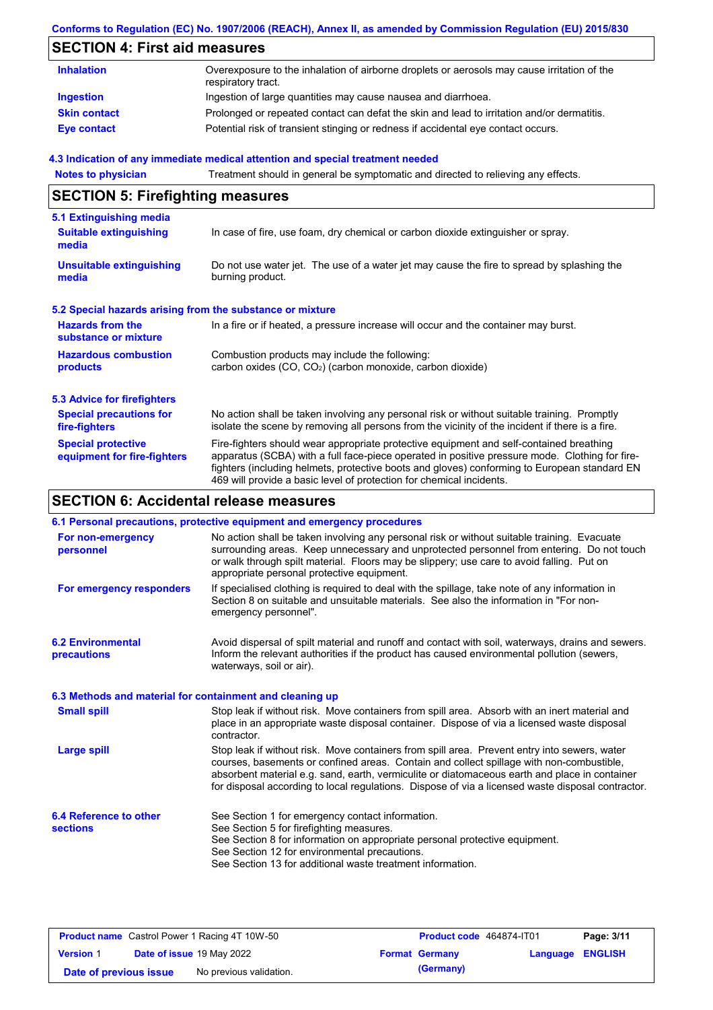### **Conforms to Regulation (EC) No. 1907/2006 (REACH), Annex II, as amended by Commission Regulation (EU) 2015/830**

## **SECTION 4: First aid measures**

| <b>Inhalation</b>   | Overexposure to the inhalation of airborne droplets or aerosols may cause irritation of the<br>respiratory tract. |
|---------------------|-------------------------------------------------------------------------------------------------------------------|
| <b>Ingestion</b>    | Ingestion of large quantities may cause nausea and diarrhoea.                                                     |
| <b>Skin contact</b> | Prolonged or repeated contact can defat the skin and lead to irritation and/or dermatitis.                        |
| Eye contact         | Potential risk of transient stinging or redness if accidental eye contact occurs.                                 |

#### **4.3 Indication of any immediate medical attention and special treatment needed**

| <b>Notes to physician</b>                                         | Treatment should in general be symptomatic and directed to relieving any effects.                                                                                                                                                                                                                                                                                 |  |  |  |  |
|-------------------------------------------------------------------|-------------------------------------------------------------------------------------------------------------------------------------------------------------------------------------------------------------------------------------------------------------------------------------------------------------------------------------------------------------------|--|--|--|--|
| <b>SECTION 5: Firefighting measures</b>                           |                                                                                                                                                                                                                                                                                                                                                                   |  |  |  |  |
| 5.1 Extinguishing media<br><b>Suitable extinguishing</b><br>media | In case of fire, use foam, dry chemical or carbon dioxide extinguisher or spray.                                                                                                                                                                                                                                                                                  |  |  |  |  |
| <b>Unsuitable extinguishing</b><br>media                          | Do not use water jet. The use of a water jet may cause the fire to spread by splashing the<br>burning product.                                                                                                                                                                                                                                                    |  |  |  |  |
| 5.2 Special hazards arising from the substance or mixture         |                                                                                                                                                                                                                                                                                                                                                                   |  |  |  |  |
| <b>Hazards from the</b><br>substance or mixture                   | In a fire or if heated, a pressure increase will occur and the container may burst.                                                                                                                                                                                                                                                                               |  |  |  |  |
| <b>Hazardous combustion</b><br>products                           | Combustion products may include the following:<br>carbon oxides (CO, CO <sub>2</sub> ) (carbon monoxide, carbon dioxide)                                                                                                                                                                                                                                          |  |  |  |  |
| <b>5.3 Advice for firefighters</b>                                |                                                                                                                                                                                                                                                                                                                                                                   |  |  |  |  |
| <b>Special precautions for</b><br>fire-fighters                   | No action shall be taken involving any personal risk or without suitable training. Promptly<br>isolate the scene by removing all persons from the vicinity of the incident if there is a fire.                                                                                                                                                                    |  |  |  |  |
| <b>Special protective</b><br>equipment for fire-fighters          | Fire-fighters should wear appropriate protective equipment and self-contained breathing<br>apparatus (SCBA) with a full face-piece operated in positive pressure mode. Clothing for fire-<br>fighters (including helmets, protective boots and gloves) conforming to European standard EN<br>469 will provide a basic level of protection for chemical incidents. |  |  |  |  |

# **SECTION 6: Accidental release measures**

|                                                          | 6.1 Personal precautions, protective equipment and emergency procedures                                                                                                                                                                                                                                                                                                                        |
|----------------------------------------------------------|------------------------------------------------------------------------------------------------------------------------------------------------------------------------------------------------------------------------------------------------------------------------------------------------------------------------------------------------------------------------------------------------|
| For non-emergency<br>personnel                           | No action shall be taken involving any personal risk or without suitable training. Evacuate<br>surrounding areas. Keep unnecessary and unprotected personnel from entering. Do not touch<br>or walk through spilt material. Floors may be slippery; use care to avoid falling. Put on<br>appropriate personal protective equipment.                                                            |
| For emergency responders                                 | If specialised clothing is required to deal with the spillage, take note of any information in<br>Section 8 on suitable and unsuitable materials. See also the information in "For non-<br>emergency personnel".                                                                                                                                                                               |
| <b>6.2 Environmental</b><br>precautions                  | Avoid dispersal of spilt material and runoff and contact with soil, waterways, drains and sewers.<br>Inform the relevant authorities if the product has caused environmental pollution (sewers,<br>waterways, soil or air).                                                                                                                                                                    |
| 6.3 Methods and material for containment and cleaning up |                                                                                                                                                                                                                                                                                                                                                                                                |
| <b>Small spill</b>                                       | Stop leak if without risk. Move containers from spill area. Absorb with an inert material and<br>place in an appropriate waste disposal container. Dispose of via a licensed waste disposal<br>contractor.                                                                                                                                                                                     |
| <b>Large spill</b>                                       | Stop leak if without risk. Move containers from spill area. Prevent entry into sewers, water<br>courses, basements or confined areas. Contain and collect spillage with non-combustible,<br>absorbent material e.g. sand, earth, vermiculite or diatomaceous earth and place in container<br>for disposal according to local regulations. Dispose of via a licensed waste disposal contractor. |
| 6.4 Reference to other<br><b>sections</b>                | See Section 1 for emergency contact information.<br>See Section 5 for firefighting measures.<br>See Section 8 for information on appropriate personal protective equipment.<br>See Section 12 for environmental precautions.<br>See Section 13 for additional waste treatment information.                                                                                                     |

| <b>Product name</b> Castrol Power 1 Racing 4T 10W-50 |  |                                  | <b>Product code</b> 464874-IT01<br>Page: 3/11 |                       |                         |  |
|------------------------------------------------------|--|----------------------------------|-----------------------------------------------|-----------------------|-------------------------|--|
| <b>Version 1</b>                                     |  | <b>Date of issue 19 May 2022</b> |                                               | <b>Format Germany</b> | <b>Language ENGLISH</b> |  |
| Date of previous issue                               |  | No previous validation.          |                                               | (Germany)             |                         |  |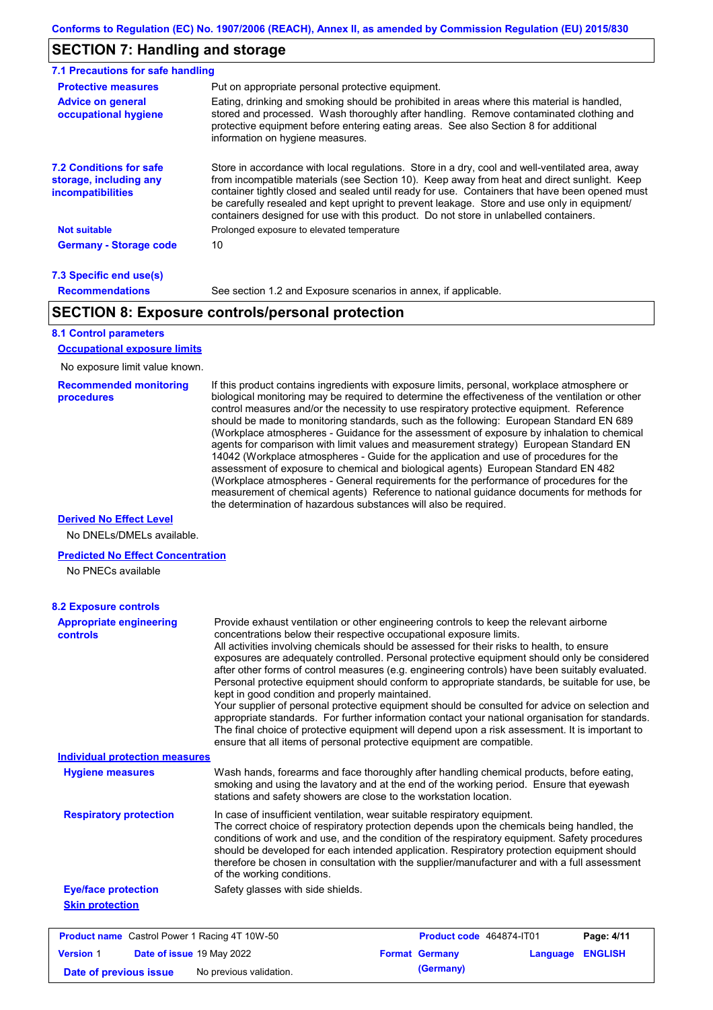## **SECTION 7: Handling and storage**

| 7.1 Precautions for safe handling                                                                                                                                                                                                                                                                                                                     |                                                                                                                                                                                                                                                                                                                                                                                                                                                                                          |
|-------------------------------------------------------------------------------------------------------------------------------------------------------------------------------------------------------------------------------------------------------------------------------------------------------------------------------------------------------|------------------------------------------------------------------------------------------------------------------------------------------------------------------------------------------------------------------------------------------------------------------------------------------------------------------------------------------------------------------------------------------------------------------------------------------------------------------------------------------|
| <b>Protective measures</b>                                                                                                                                                                                                                                                                                                                            | Put on appropriate personal protective equipment.                                                                                                                                                                                                                                                                                                                                                                                                                                        |
| <b>Advice on general</b><br>occupational hygiene                                                                                                                                                                                                                                                                                                      | Eating, drinking and smoking should be prohibited in areas where this material is handled,<br>stored and processed. Wash thoroughly after handling. Remove contaminated clothing and<br>protective equipment before entering eating areas. See also Section 8 for additional<br>information on hygiene measures.                                                                                                                                                                         |
| <b>7.2 Conditions for safe</b><br>storage, including any<br><i>incompatibilities</i>                                                                                                                                                                                                                                                                  | Store in accordance with local regulations. Store in a dry, cool and well-ventilated area, away<br>from incompatible materials (see Section 10). Keep away from heat and direct sunlight. Keep<br>container tightly closed and sealed until ready for use. Containers that have been opened must<br>be carefully resealed and kept upright to prevent leakage. Store and use only in equipment/<br>containers designed for use with this product. Do not store in unlabelled containers. |
| <b>Not suitable</b>                                                                                                                                                                                                                                                                                                                                   | Prolonged exposure to elevated temperature                                                                                                                                                                                                                                                                                                                                                                                                                                               |
| <b>Germany - Storage code</b>                                                                                                                                                                                                                                                                                                                         | 10                                                                                                                                                                                                                                                                                                                                                                                                                                                                                       |
| $\overline{z}$ 0.0 $\overline{z}$ = $\overline{z}$ = $\overline{z}$ = $\overline{z}$ = $\overline{z}$ = $\overline{z}$ = $\overline{z}$ = $\overline{z}$ = $\overline{z}$ = $\overline{z}$ = $\overline{z}$ = $\overline{z}$ = $\overline{z}$ = $\overline{z}$ = $\overline{z}$ = $\overline{z}$ = $\overline{z}$ = $\overline{z}$ = $\overline{z}$ = |                                                                                                                                                                                                                                                                                                                                                                                                                                                                                          |

#### **7.3 Specific end use(s) Recommendations**

See section 1.2 and Exposure scenarios in annex, if applicable.

## **SECTION 8: Exposure controls/personal protection**

### **8.1 Control parameters**

**Occupational exposure limits**

No exposure limit value known.

#### **Recommended monitoring procedures**

If this product contains ingredients with exposure limits, personal, workplace atmosphere or biological monitoring may be required to determine the effectiveness of the ventilation or other control measures and/or the necessity to use respiratory protective equipment. Reference should be made to monitoring standards, such as the following: European Standard EN 689 (Workplace atmospheres - Guidance for the assessment of exposure by inhalation to chemical agents for comparison with limit values and measurement strategy) European Standard EN 14042 (Workplace atmospheres - Guide for the application and use of procedures for the assessment of exposure to chemical and biological agents) European Standard EN 482 (Workplace atmospheres - General requirements for the performance of procedures for the measurement of chemical agents) Reference to national guidance documents for methods for the determination of hazardous substances will also be required.

#### **Derived No Effect Level**

No DNELs/DMELs available.

#### **Predicted No Effect Concentration**

No PNECs available

| <b>8.2 Exposure controls</b>                         |                                                                                                                                                                                                                                                                                                                                                                                                                                                                                                                                                                                                                                                                                                                                                                                                                                                                                                                                                                                                         |  |                          |          |                |
|------------------------------------------------------|---------------------------------------------------------------------------------------------------------------------------------------------------------------------------------------------------------------------------------------------------------------------------------------------------------------------------------------------------------------------------------------------------------------------------------------------------------------------------------------------------------------------------------------------------------------------------------------------------------------------------------------------------------------------------------------------------------------------------------------------------------------------------------------------------------------------------------------------------------------------------------------------------------------------------------------------------------------------------------------------------------|--|--------------------------|----------|----------------|
| <b>Appropriate engineering</b><br><b>controls</b>    | Provide exhaust ventilation or other engineering controls to keep the relevant airborne<br>concentrations below their respective occupational exposure limits.<br>All activities involving chemicals should be assessed for their risks to health, to ensure<br>exposures are adequately controlled. Personal protective equipment should only be considered<br>after other forms of control measures (e.g. engineering controls) have been suitably evaluated.<br>Personal protective equipment should conform to appropriate standards, be suitable for use, be<br>kept in good condition and properly maintained.<br>Your supplier of personal protective equipment should be consulted for advice on selection and<br>appropriate standards. For further information contact your national organisation for standards.<br>The final choice of protective equipment will depend upon a risk assessment. It is important to<br>ensure that all items of personal protective equipment are compatible. |  |                          |          |                |
| <b>Individual protection measures</b>                |                                                                                                                                                                                                                                                                                                                                                                                                                                                                                                                                                                                                                                                                                                                                                                                                                                                                                                                                                                                                         |  |                          |          |                |
| <b>Hygiene measures</b>                              | Wash hands, forearms and face thoroughly after handling chemical products, before eating,<br>smoking and using the lavatory and at the end of the working period. Ensure that eyewash<br>stations and safety showers are close to the workstation location.                                                                                                                                                                                                                                                                                                                                                                                                                                                                                                                                                                                                                                                                                                                                             |  |                          |          |                |
| <b>Respiratory protection</b>                        | In case of insufficient ventilation, wear suitable respiratory equipment.<br>The correct choice of respiratory protection depends upon the chemicals being handled, the<br>conditions of work and use, and the condition of the respiratory equipment. Safety procedures<br>should be developed for each intended application. Respiratory protection equipment should<br>therefore be chosen in consultation with the supplier/manufacturer and with a full assessment<br>of the working conditions.                                                                                                                                                                                                                                                                                                                                                                                                                                                                                                   |  |                          |          |                |
| <b>Eye/face protection</b>                           | Safety glasses with side shields.                                                                                                                                                                                                                                                                                                                                                                                                                                                                                                                                                                                                                                                                                                                                                                                                                                                                                                                                                                       |  |                          |          |                |
| <b>Skin protection</b>                               |                                                                                                                                                                                                                                                                                                                                                                                                                                                                                                                                                                                                                                                                                                                                                                                                                                                                                                                                                                                                         |  |                          |          |                |
| <b>Product name</b> Castrol Power 1 Racing 4T 10W-50 |                                                                                                                                                                                                                                                                                                                                                                                                                                                                                                                                                                                                                                                                                                                                                                                                                                                                                                                                                                                                         |  | Product code 464874-IT01 |          | Page: 4/11     |
| <b>Version 1</b><br>Date of issue 19 May 2022        |                                                                                                                                                                                                                                                                                                                                                                                                                                                                                                                                                                                                                                                                                                                                                                                                                                                                                                                                                                                                         |  | <b>Format Germany</b>    | Language | <b>ENGLISH</b> |

**Date of previous issue** No previous validation. **(Germany)**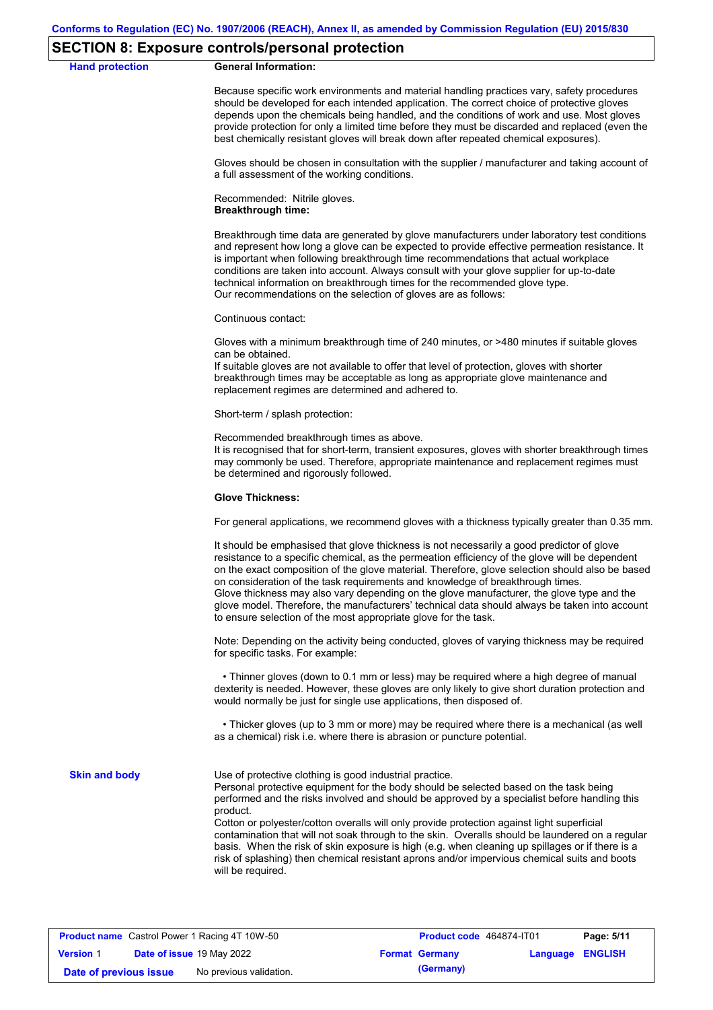#### **SECTION 8: Exposure controls/personal protection**

#### **Hand protection General Information:**

Because specific work environments and material handling practices vary, safety procedures should be developed for each intended application. The correct choice of protective gloves depends upon the chemicals being handled, and the conditions of work and use. Most gloves provide protection for only a limited time before they must be discarded and replaced (even the best chemically resistant gloves will break down after repeated chemical exposures).

Gloves should be chosen in consultation with the supplier / manufacturer and taking account of a full assessment of the working conditions.

Recommended: Nitrile gloves. **Breakthrough time:**

Breakthrough time data are generated by glove manufacturers under laboratory test conditions and represent how long a glove can be expected to provide effective permeation resistance. It is important when following breakthrough time recommendations that actual workplace conditions are taken into account. Always consult with your glove supplier for up-to-date technical information on breakthrough times for the recommended glove type. Our recommendations on the selection of gloves are as follows:

Continuous contact:

Gloves with a minimum breakthrough time of 240 minutes, or >480 minutes if suitable gloves can be obtained.

If suitable gloves are not available to offer that level of protection, gloves with shorter breakthrough times may be acceptable as long as appropriate glove maintenance and replacement regimes are determined and adhered to.

Short-term / splash protection:

Recommended breakthrough times as above.

It is recognised that for short-term, transient exposures, gloves with shorter breakthrough times may commonly be used. Therefore, appropriate maintenance and replacement regimes must be determined and rigorously followed.

#### **Glove Thickness:**

For general applications, we recommend gloves with a thickness typically greater than 0.35 mm.

It should be emphasised that glove thickness is not necessarily a good predictor of glove resistance to a specific chemical, as the permeation efficiency of the glove will be dependent on the exact composition of the glove material. Therefore, glove selection should also be based on consideration of the task requirements and knowledge of breakthrough times. Glove thickness may also vary depending on the glove manufacturer, the glove type and the glove model. Therefore, the manufacturers' technical data should always be taken into account to ensure selection of the most appropriate glove for the task.

Note: Depending on the activity being conducted, gloves of varying thickness may be required for specific tasks. For example:

 • Thinner gloves (down to 0.1 mm or less) may be required where a high degree of manual dexterity is needed. However, these gloves are only likely to give short duration protection and would normally be just for single use applications, then disposed of.

 • Thicker gloves (up to 3 mm or more) may be required where there is a mechanical (as well as a chemical) risk i.e. where there is abrasion or puncture potential.

**Skin and body**

Use of protective clothing is good industrial practice.

Personal protective equipment for the body should be selected based on the task being performed and the risks involved and should be approved by a specialist before handling this product.

Cotton or polyester/cotton overalls will only provide protection against light superficial contamination that will not soak through to the skin. Overalls should be laundered on a regular basis. When the risk of skin exposure is high (e.g. when cleaning up spillages or if there is a risk of splashing) then chemical resistant aprons and/or impervious chemical suits and boots will be required.

|                        | <b>Product name</b> Castrol Power 1 Racing 4T 10W-50 | <b>Product code</b> 464874-IT01 |                         | Page: 5/11 |
|------------------------|------------------------------------------------------|---------------------------------|-------------------------|------------|
| <b>Version 1</b>       | Date of issue 19 May 2022                            | <b>Format Germany</b>           | <b>Language ENGLISH</b> |            |
| Date of previous issue | No previous validation.                              | (Germany)                       |                         |            |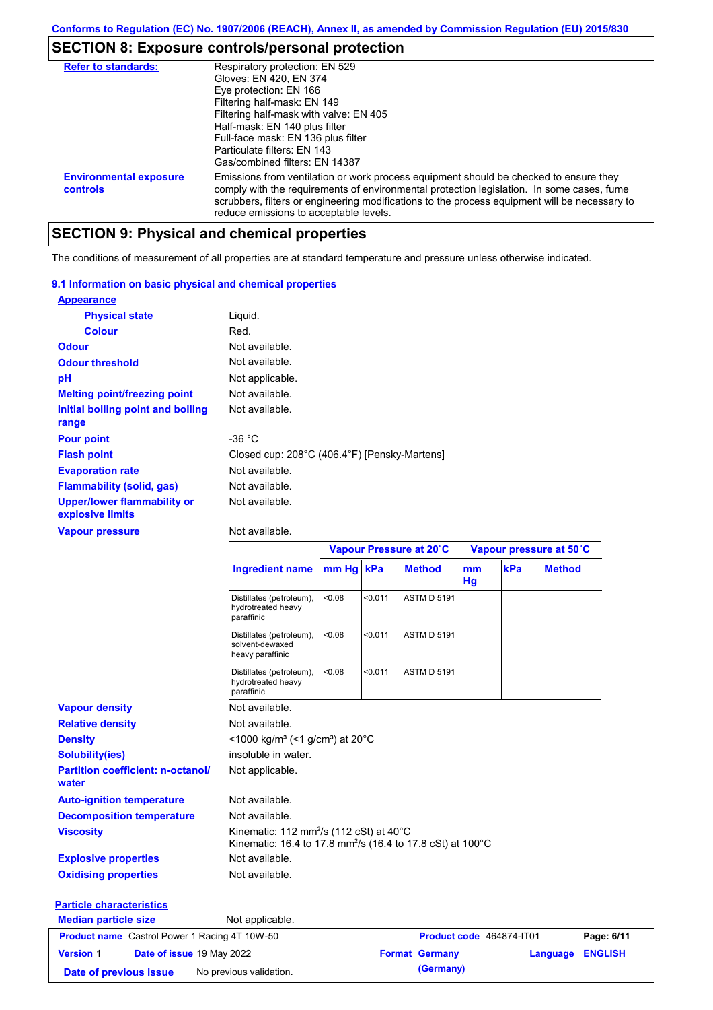## **SECTION 8: Exposure controls/personal protection**

| <b>Refer to standards:</b>                | Respiratory protection: EN 529<br>Gloves: EN 420, EN 374<br>Eye protection: EN 166<br>Filtering half-mask: EN 149<br>Filtering half-mask with valve: EN 405<br>Half-mask: EN 140 plus filter<br>Full-face mask: EN 136 plus filter<br>Particulate filters: EN 143<br>Gas/combined filters: EN 14387                           |
|-------------------------------------------|-------------------------------------------------------------------------------------------------------------------------------------------------------------------------------------------------------------------------------------------------------------------------------------------------------------------------------|
| <b>Environmental exposure</b><br>controls | Emissions from ventilation or work process equipment should be checked to ensure they<br>comply with the requirements of environmental protection legislation. In some cases, fume<br>scrubbers, filters or engineering modifications to the process equipment will be necessary to<br>reduce emissions to acceptable levels. |

## **SECTION 9: Physical and chemical properties**

The conditions of measurement of all properties are at standard temperature and pressure unless otherwise indicated.

#### **9.1 Information on basic physical and chemical properties**

| <b>Appearance</b>                                      |                                              |
|--------------------------------------------------------|----------------------------------------------|
| <b>Physical state</b>                                  | Liquid.                                      |
| <b>Colour</b>                                          | Red.                                         |
| <b>Odour</b>                                           | Not available.                               |
| <b>Odour threshold</b>                                 | Not available.                               |
| pH                                                     | Not applicable.                              |
| <b>Melting point/freezing point</b>                    | Not available.                               |
| Initial boiling point and boiling<br>range             | Not available.                               |
| <b>Pour point</b>                                      | -36 °C                                       |
| <b>Flash point</b>                                     | Closed cup: 208°C (406.4°F) [Pensky-Martens] |
| <b>Evaporation rate</b>                                | Not available.                               |
| <b>Flammability (solid, gas)</b>                       | Not available.                               |
| <b>Upper/lower flammability or</b><br>explosive limits | Not available.                               |

#### **Vapour pressure**

#### Not available.

|                                                      |                                                                                                                                          |        |         | Vapour Pressure at 20°C |          | Vapour pressure at 50°C  |               |                |
|------------------------------------------------------|------------------------------------------------------------------------------------------------------------------------------------------|--------|---------|-------------------------|----------|--------------------------|---------------|----------------|
|                                                      | Ingredient name mm Hg kPa                                                                                                                |        |         | <b>Method</b>           | mm<br>Hg | kPa                      | <b>Method</b> |                |
|                                                      | Distillates (petroleum),<br>hydrotreated heavy<br>paraffinic                                                                             | < 0.08 | < 0.011 | <b>ASTM D 5191</b>      |          |                          |               |                |
|                                                      | Distillates (petroleum),<br>solvent-dewaxed<br>heavy paraffinic                                                                          | < 0.08 | < 0.011 | <b>ASTM D 5191</b>      |          |                          |               |                |
|                                                      | Distillates (petroleum),<br>hydrotreated heavy<br>paraffinic                                                                             | < 0.08 | < 0.011 | <b>ASTM D 5191</b>      |          |                          |               |                |
| <b>Vapour density</b>                                | Not available.                                                                                                                           |        |         |                         |          |                          |               |                |
| <b>Relative density</b>                              | Not available.                                                                                                                           |        |         |                         |          |                          |               |                |
| <b>Density</b>                                       | <1000 kg/m <sup>3</sup> (<1 g/cm <sup>3</sup> ) at 20 <sup>°</sup> C                                                                     |        |         |                         |          |                          |               |                |
| <b>Solubility(ies)</b>                               | insoluble in water.                                                                                                                      |        |         |                         |          |                          |               |                |
| <b>Partition coefficient: n-octanol/</b><br>water    | Not applicable.                                                                                                                          |        |         |                         |          |                          |               |                |
| <b>Auto-ignition temperature</b>                     | Not available.                                                                                                                           |        |         |                         |          |                          |               |                |
| <b>Decomposition temperature</b>                     | Not available.                                                                                                                           |        |         |                         |          |                          |               |                |
| <b>Viscosity</b>                                     | Kinematic: 112 mm <sup>2</sup> /s (112 cSt) at $40^{\circ}$ C<br>Kinematic: 16.4 to 17.8 mm <sup>2</sup> /s (16.4 to 17.8 cSt) at 100 °C |        |         |                         |          |                          |               |                |
| <b>Explosive properties</b>                          | Not available.                                                                                                                           |        |         |                         |          |                          |               |                |
| <b>Oxidising properties</b>                          | Not available.                                                                                                                           |        |         |                         |          |                          |               |                |
| <b>Particle characteristics</b>                      |                                                                                                                                          |        |         |                         |          |                          |               |                |
| <b>Median particle size</b>                          | Not applicable.                                                                                                                          |        |         |                         |          |                          |               |                |
| <b>Product name</b> Castrol Power 1 Racing 4T 10W-50 |                                                                                                                                          |        |         |                         |          | Product code 464874-IT01 |               | Page: 6/11     |
| <b>Version 1</b><br>Date of issue 19 May 2022        |                                                                                                                                          |        |         | <b>Format Germany</b>   |          |                          | Language      | <b>ENGLISH</b> |
| Date of previous issue                               | No previous validation.                                                                                                                  |        |         | (Germany)               |          |                          |               |                |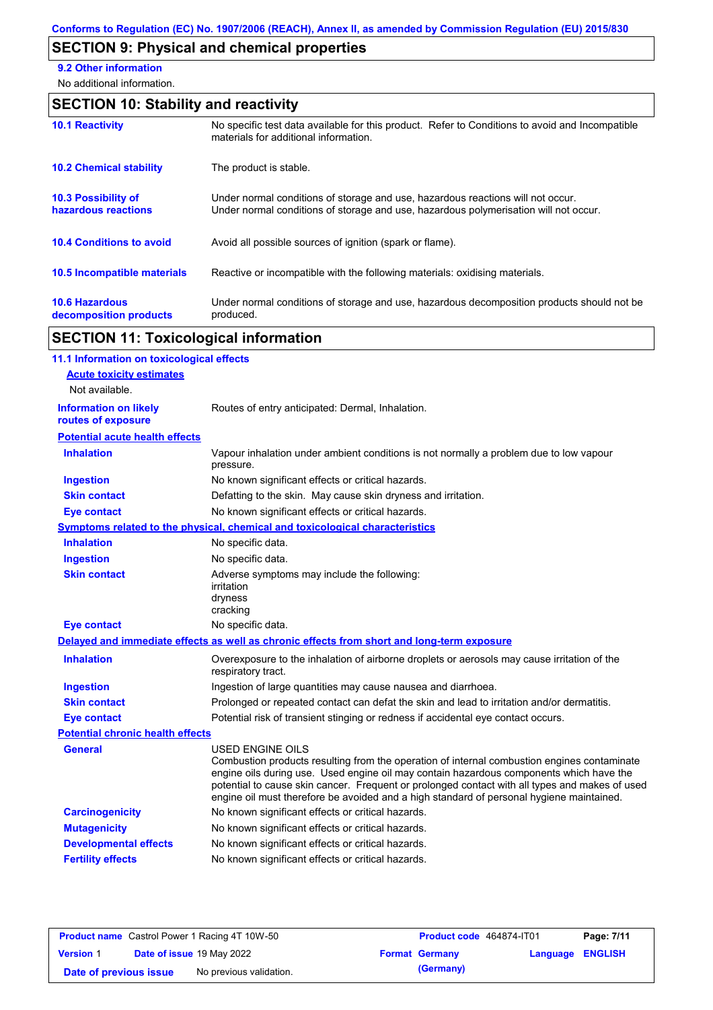# **SECTION 9: Physical and chemical properties**

**9.2 Other information**

No additional information.

## **SECTION 10: Stability and reactivity**

| <b>10.1 Reactivity</b>                            | No specific test data available for this product. Refer to Conditions to avoid and Incompatible<br>materials for additional information.                                |
|---------------------------------------------------|-------------------------------------------------------------------------------------------------------------------------------------------------------------------------|
| <b>10.2 Chemical stability</b>                    | The product is stable.                                                                                                                                                  |
| <b>10.3 Possibility of</b><br>hazardous reactions | Under normal conditions of storage and use, hazardous reactions will not occur.<br>Under normal conditions of storage and use, hazardous polymerisation will not occur. |
| <b>10.4 Conditions to avoid</b>                   | Avoid all possible sources of ignition (spark or flame).                                                                                                                |
| <b>10.5 Incompatible materials</b>                | Reactive or incompatible with the following materials: oxidising materials.                                                                                             |
| <b>10.6 Hazardous</b><br>decomposition products   | Under normal conditions of storage and use, hazardous decomposition products should not be<br>produced.                                                                 |

# **SECTION 11: Toxicological information**

| 11.1 Information on toxicological effects          |                                                                                                                                                                                                                                                                                                                                                                                                                 |
|----------------------------------------------------|-----------------------------------------------------------------------------------------------------------------------------------------------------------------------------------------------------------------------------------------------------------------------------------------------------------------------------------------------------------------------------------------------------------------|
| <b>Acute toxicity estimates</b>                    |                                                                                                                                                                                                                                                                                                                                                                                                                 |
| Not available.                                     |                                                                                                                                                                                                                                                                                                                                                                                                                 |
| <b>Information on likely</b><br>routes of exposure | Routes of entry anticipated: Dermal, Inhalation.                                                                                                                                                                                                                                                                                                                                                                |
| <b>Potential acute health effects</b>              |                                                                                                                                                                                                                                                                                                                                                                                                                 |
| <b>Inhalation</b>                                  | Vapour inhalation under ambient conditions is not normally a problem due to low vapour<br>pressure.                                                                                                                                                                                                                                                                                                             |
| <b>Ingestion</b>                                   | No known significant effects or critical hazards.                                                                                                                                                                                                                                                                                                                                                               |
| <b>Skin contact</b>                                | Defatting to the skin. May cause skin dryness and irritation.                                                                                                                                                                                                                                                                                                                                                   |
| <b>Eye contact</b>                                 | No known significant effects or critical hazards.                                                                                                                                                                                                                                                                                                                                                               |
|                                                    | <b>Symptoms related to the physical, chemical and toxicological characteristics</b>                                                                                                                                                                                                                                                                                                                             |
| <b>Inhalation</b>                                  | No specific data.                                                                                                                                                                                                                                                                                                                                                                                               |
| <b>Ingestion</b>                                   | No specific data.                                                                                                                                                                                                                                                                                                                                                                                               |
| <b>Skin contact</b>                                | Adverse symptoms may include the following:<br>irritation<br>dryness<br>cracking                                                                                                                                                                                                                                                                                                                                |
| <b>Eye contact</b>                                 | No specific data.                                                                                                                                                                                                                                                                                                                                                                                               |
|                                                    | Delayed and immediate effects as well as chronic effects from short and long-term exposure                                                                                                                                                                                                                                                                                                                      |
| <b>Inhalation</b>                                  | Overexposure to the inhalation of airborne droplets or aerosols may cause irritation of the<br>respiratory tract.                                                                                                                                                                                                                                                                                               |
| <b>Ingestion</b>                                   | Ingestion of large quantities may cause nausea and diarrhoea.                                                                                                                                                                                                                                                                                                                                                   |
| <b>Skin contact</b>                                | Prolonged or repeated contact can defat the skin and lead to irritation and/or dermatitis.                                                                                                                                                                                                                                                                                                                      |
| <b>Eye contact</b>                                 | Potential risk of transient stinging or redness if accidental eye contact occurs.                                                                                                                                                                                                                                                                                                                               |
| <b>Potential chronic health effects</b>            |                                                                                                                                                                                                                                                                                                                                                                                                                 |
| General                                            | <b>USED ENGINE OILS</b><br>Combustion products resulting from the operation of internal combustion engines contaminate<br>engine oils during use. Used engine oil may contain hazardous components which have the<br>potential to cause skin cancer. Frequent or prolonged contact with all types and makes of used<br>engine oil must therefore be avoided and a high standard of personal hygiene maintained. |
| <b>Carcinogenicity</b>                             | No known significant effects or critical hazards.                                                                                                                                                                                                                                                                                                                                                               |
| <b>Mutagenicity</b>                                | No known significant effects or critical hazards.                                                                                                                                                                                                                                                                                                                                                               |
| <b>Developmental effects</b>                       | No known significant effects or critical hazards.                                                                                                                                                                                                                                                                                                                                                               |
| <b>Fertility effects</b>                           | No known significant effects or critical hazards.                                                                                                                                                                                                                                                                                                                                                               |
|                                                    |                                                                                                                                                                                                                                                                                                                                                                                                                 |

| <b>Product name</b> Castrol Power 1 Racing 4T 10W-50 |                                  |                         | <b>Product code</b> 464874-IT01 | Page: 7/11            |                         |  |
|------------------------------------------------------|----------------------------------|-------------------------|---------------------------------|-----------------------|-------------------------|--|
| <b>Version 1</b>                                     | <b>Date of issue 19 May 2022</b> |                         |                                 | <b>Format Germany</b> | <b>Language ENGLISH</b> |  |
| Date of previous issue                               |                                  | No previous validation. |                                 | (Germany)             |                         |  |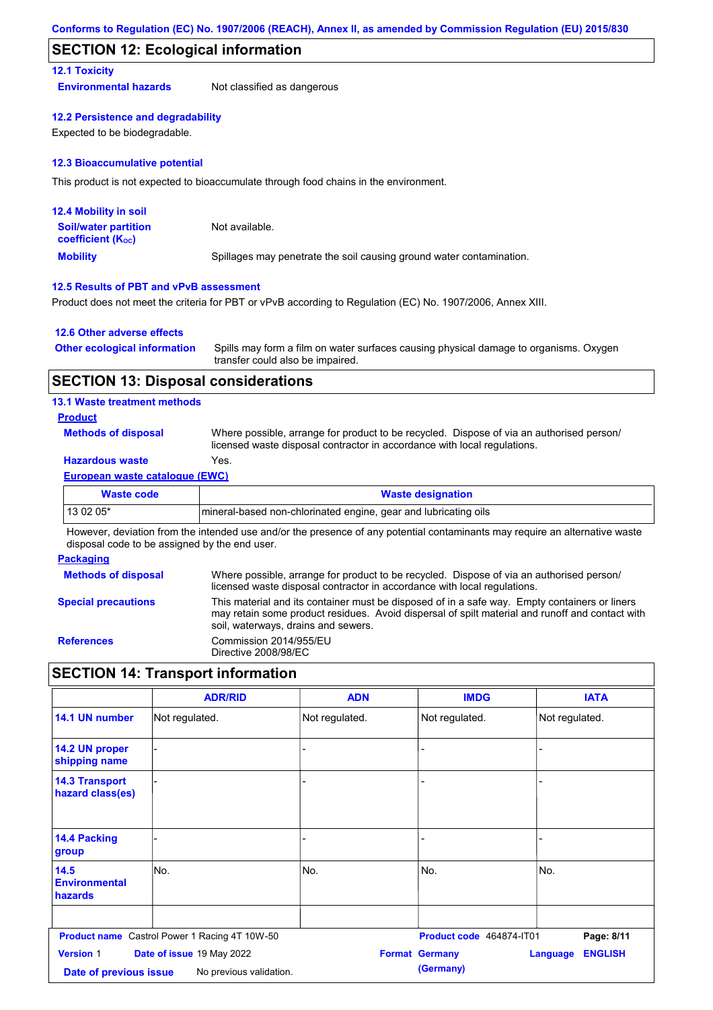### **SECTION 12: Ecological information**

#### **12.1 Toxicity**

**Environmental hazards** Not classified as dangerous

#### **12.2 Persistence and degradability**

Expected to be biodegradable.

#### **12.3 Bioaccumulative potential**

This product is not expected to bioaccumulate through food chains in the environment.

| <b>12.4 Mobility in soil</b>                                  |                                                                      |
|---------------------------------------------------------------|----------------------------------------------------------------------|
| <b>Soil/water partition</b><br>coefficient (K <sub>oc</sub> ) | Not available.                                                       |
| <b>Mobility</b>                                               | Spillages may penetrate the soil causing ground water contamination. |

#### **12.5 Results of PBT and vPvB assessment**

Product does not meet the criteria for PBT or vPvB according to Regulation (EC) No. 1907/2006, Annex XIII.

#### **12.6 Other adverse effects**

| <b>Other ecological information</b> | Spills may form a film on water surfaces causing physical damage to organisms. Oxygen |
|-------------------------------------|---------------------------------------------------------------------------------------|
|                                     | transfer could also be impaired.                                                      |

### **SECTION 13: Disposal considerations**

#### **13.1 Waste treatment methods**

#### **Product**

**Methods of disposal**

Where possible, arrange for product to be recycled. Dispose of via an authorised person/ licensed waste disposal contractor in accordance with local regulations.

### **Hazardous waste** Yes.

#### **European waste catalogue (EWC)**

| Waste code | <b>Waste designation</b>                                         |
|------------|------------------------------------------------------------------|
| $130205*$  | Imineral-based non-chlorinated engine, gear and lubricating oils |

However, deviation from the intended use and/or the presence of any potential contaminants may require an alternative waste disposal code to be assigned by the end user.

#### **Packaging**

| <b>Methods of disposal</b> | Where possible, arrange for product to be recycled. Dispose of via an authorised person/<br>licensed waste disposal contractor in accordance with local regulations.                                                                    |
|----------------------------|-----------------------------------------------------------------------------------------------------------------------------------------------------------------------------------------------------------------------------------------|
| <b>Special precautions</b> | This material and its container must be disposed of in a safe way. Empty containers or liners<br>may retain some product residues. Avoid dispersal of spilt material and runoff and contact with<br>soil, waterways, drains and sewers. |
| <b>References</b>          | Commission 2014/955/EU<br>Directive 2008/98/EC                                                                                                                                                                                          |

## **SECTION 14: Transport information**

|                                            | <b>ADR/RID</b>                                       | <b>ADN</b>     | <b>IMDG</b>                        | <b>IATA</b>                       |
|--------------------------------------------|------------------------------------------------------|----------------|------------------------------------|-----------------------------------|
| 14.1 UN number                             | Not regulated.                                       | Not regulated. | Not regulated.                     | Not regulated.                    |
| 14.2 UN proper<br>shipping name            |                                                      | ٠              |                                    |                                   |
| <b>14.3 Transport</b><br>hazard class(es)  |                                                      |                |                                    |                                   |
| 14.4 Packing<br>group                      |                                                      |                |                                    |                                   |
| 14.5<br><b>Environmental</b><br>hazards    | lNo.                                                 | No.            | No.                                | No.                               |
|                                            | <b>Product name</b> Castrol Power 1 Racing 4T 10W-50 |                | Product code 464874-IT01           | Page: 8/11                        |
| <b>Version 1</b><br>Date of previous issue | Date of issue 19 May 2022<br>No previous validation. |                | <b>Format Germany</b><br>(Germany) | <b>ENGLISH</b><br><b>Language</b> |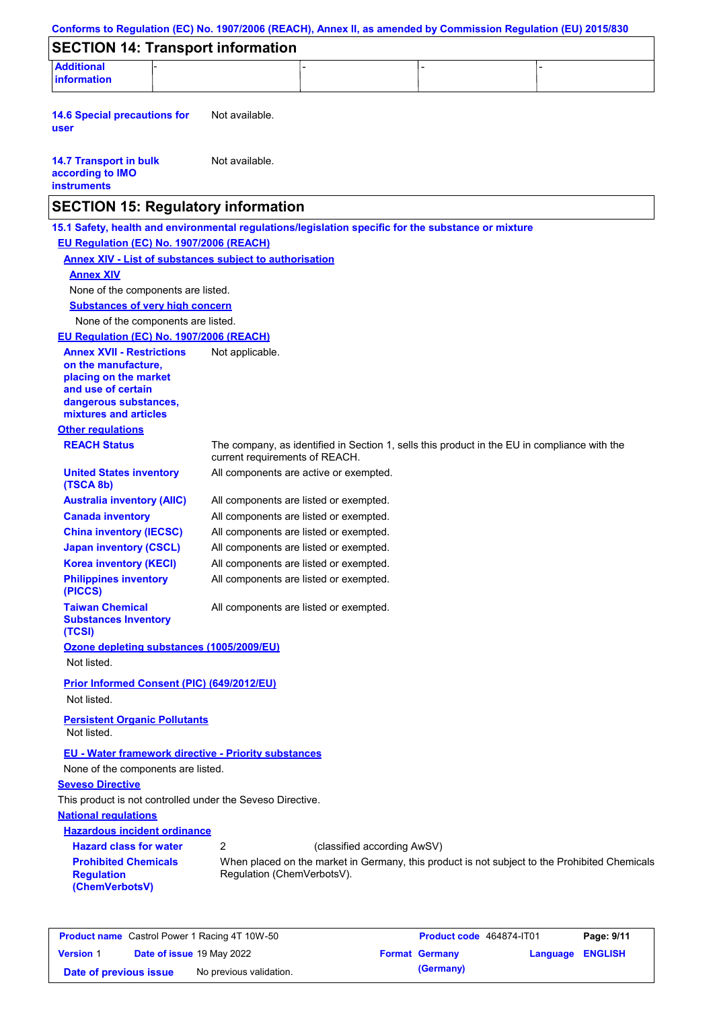| <b>SECTION 14: Transport information</b>                                |                                                                                                                                |  |
|-------------------------------------------------------------------------|--------------------------------------------------------------------------------------------------------------------------------|--|
| <b>Additional</b><br><b>information</b>                                 |                                                                                                                                |  |
| <b>14.6 Special precautions for</b><br>user                             | Not available.                                                                                                                 |  |
| <b>14.7 Transport in bulk</b><br>according to IMO<br><b>instruments</b> | Not available.                                                                                                                 |  |
| <b>SECTION 15: Regulatory information</b>                               |                                                                                                                                |  |
|                                                                         | 15.1 Safety, health and environmental regulations/legislation specific for the substance or mixture                            |  |
| EU Regulation (EC) No. 1907/2006 (REACH)                                |                                                                                                                                |  |
|                                                                         | <b>Annex XIV - List of substances subject to authorisation</b>                                                                 |  |
| <b>Annex XIV</b>                                                        |                                                                                                                                |  |
| None of the components are listed.                                      |                                                                                                                                |  |
| <b>Substances of very high concern</b>                                  |                                                                                                                                |  |
| None of the components are listed.                                      |                                                                                                                                |  |
| EU Regulation (EC) No. 1907/2006 (REACH)                                |                                                                                                                                |  |
| <b>Annex XVII - Restrictions</b><br>on the manufacture,                 | Not applicable.                                                                                                                |  |
| placing on the market                                                   |                                                                                                                                |  |
| and use of certain<br>dangerous substances,<br>mixtures and articles    |                                                                                                                                |  |
| <b>Other regulations</b>                                                |                                                                                                                                |  |
| <b>REACH Status</b>                                                     | The company, as identified in Section 1, sells this product in the EU in compliance with the<br>current requirements of REACH. |  |
| <b>United States inventory</b><br>(TSCA 8b)                             | All components are active or exempted.                                                                                         |  |
| <b>Australia inventory (AIIC)</b>                                       | All components are listed or exempted.                                                                                         |  |
| <b>Canada inventory</b>                                                 | All components are listed or exempted.                                                                                         |  |
| <b>China inventory (IECSC)</b>                                          | All components are listed or exempted.                                                                                         |  |
| <b>Japan inventory (CSCL)</b><br><b>Korea inventory (KECI)</b>          | All components are listed or exempted.<br>All components are listed or exempted.                                               |  |
| <b>Philippines inventory</b><br>(PICCS)                                 | All components are listed or exempted.                                                                                         |  |
| <b>Taiwan Chemical</b><br><b>Substances Inventory</b>                   | All components are listed or exempted.                                                                                         |  |
| (TCSI)<br>Ozone depleting substances (1005/2009/EU)<br>Not listed.      |                                                                                                                                |  |
| Prior Informed Consent (PIC) (649/2012/EU)<br>Not listed.               |                                                                                                                                |  |
| <b>Persistent Organic Pollutants</b><br>Not listed.                     |                                                                                                                                |  |
| <b>EU - Water framework directive - Priority substances</b>             |                                                                                                                                |  |
| None of the components are listed.                                      |                                                                                                                                |  |
| <b>Seveso Directive</b>                                                 |                                                                                                                                |  |
| This product is not controlled under the Seveso Directive.              |                                                                                                                                |  |
| <b>National regulations</b>                                             |                                                                                                                                |  |
| <b>Hazardous incident ordinance</b>                                     |                                                                                                                                |  |
| <b>Hazard class for water</b>                                           | 2<br>(classified according AwSV)                                                                                               |  |
| <b>Prohibited Chemicals</b><br><b>Regulation</b>                        | When placed on the market in Germany, this product is not subject to the Prohibited Chemicals<br>Regulation (ChemVerbotsV).    |  |

|                        |                                  | <b>Product name</b> Castrol Power 1 Racing 4T 10W-50 | <b>Product code</b> 464874-IT01 |                  | Page: 9/11 |
|------------------------|----------------------------------|------------------------------------------------------|---------------------------------|------------------|------------|
| <b>Version 1</b>       | <b>Date of issue 19 May 2022</b> |                                                      | <b>Format Germany</b>           | Language ENGLISH |            |
| Date of previous issue |                                  | No previous validation.                              | (Germany)                       |                  |            |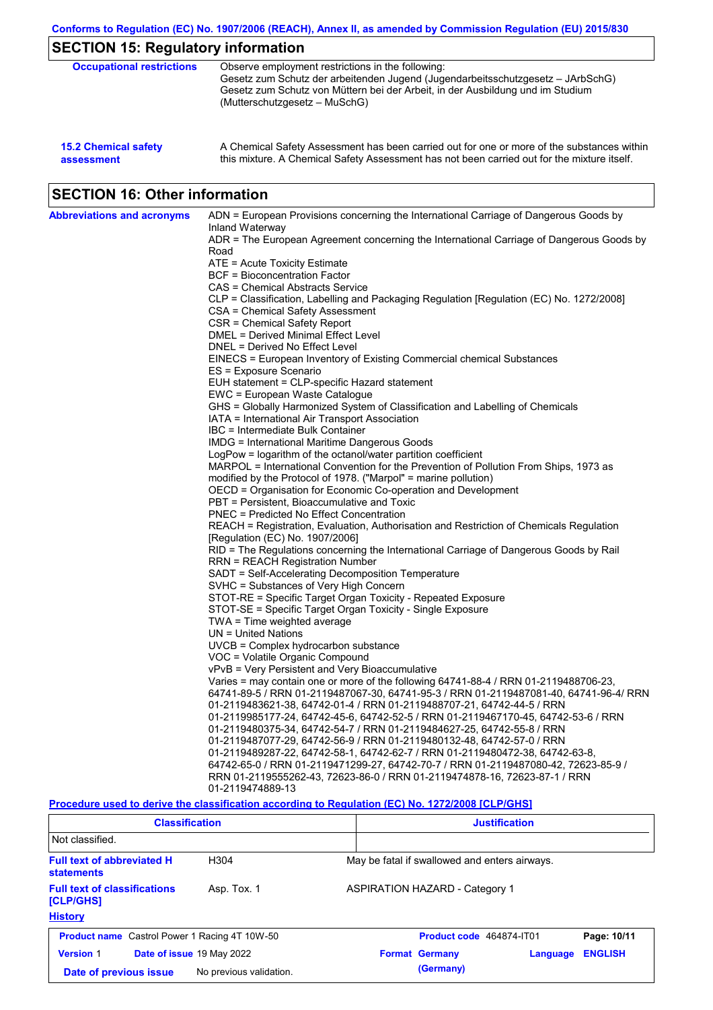| <b>15.2 Chemical safety</b> | A Chemical Safety Assessment has been carried out for one or more of the substances within  |
|-----------------------------|---------------------------------------------------------------------------------------------|
| assessment                  | this mixture. A Chemical Safety Assessment has not been carried out for the mixture itself. |

# **SECTION 16: Other information**

| <b>Abbreviations and acronyms</b> | ADN = European Provisions concerning the International Carriage of Dangerous Goods by<br>Inland Waterway                                                        |
|-----------------------------------|-----------------------------------------------------------------------------------------------------------------------------------------------------------------|
|                                   | ADR = The European Agreement concerning the International Carriage of Dangerous Goods by<br>Road                                                                |
|                                   | ATE = Acute Toxicity Estimate                                                                                                                                   |
|                                   | BCF = Bioconcentration Factor                                                                                                                                   |
|                                   | CAS = Chemical Abstracts Service                                                                                                                                |
|                                   | CLP = Classification, Labelling and Packaging Regulation [Regulation (EC) No. 1272/2008]                                                                        |
|                                   | CSA = Chemical Safety Assessment                                                                                                                                |
|                                   | CSR = Chemical Safety Report                                                                                                                                    |
|                                   | DMEL = Derived Minimal Effect Level                                                                                                                             |
|                                   | DNEL = Derived No Effect Level                                                                                                                                  |
|                                   | EINECS = European Inventory of Existing Commercial chemical Substances                                                                                          |
|                                   | ES = Exposure Scenario                                                                                                                                          |
|                                   | EUH statement = CLP-specific Hazard statement                                                                                                                   |
|                                   | EWC = European Waste Catalogue                                                                                                                                  |
|                                   | GHS = Globally Harmonized System of Classification and Labelling of Chemicals                                                                                   |
|                                   | IATA = International Air Transport Association                                                                                                                  |
|                                   | IBC = Intermediate Bulk Container                                                                                                                               |
|                                   | IMDG = International Maritime Dangerous Goods                                                                                                                   |
|                                   | LogPow = logarithm of the octanol/water partition coefficient                                                                                                   |
|                                   | MARPOL = International Convention for the Prevention of Pollution From Ships, 1973 as                                                                           |
|                                   | modified by the Protocol of 1978. ("Marpol" = marine pollution)                                                                                                 |
|                                   | OECD = Organisation for Economic Co-operation and Development                                                                                                   |
|                                   | PBT = Persistent, Bioaccumulative and Toxic                                                                                                                     |
|                                   | PNEC = Predicted No Effect Concentration                                                                                                                        |
|                                   | REACH = Registration, Evaluation, Authorisation and Restriction of Chemicals Regulation<br>[Regulation (EC) No. 1907/2006]                                      |
|                                   | RID = The Regulations concerning the International Carriage of Dangerous Goods by Rail                                                                          |
|                                   | <b>RRN = REACH Registration Number</b>                                                                                                                          |
|                                   | SADT = Self-Accelerating Decomposition Temperature                                                                                                              |
|                                   | SVHC = Substances of Very High Concern                                                                                                                          |
|                                   | STOT-RE = Specific Target Organ Toxicity - Repeated Exposure                                                                                                    |
|                                   | STOT-SE = Specific Target Organ Toxicity - Single Exposure                                                                                                      |
|                                   | $TWA = Time$ weighted average                                                                                                                                   |
|                                   | $UN = United Nations$                                                                                                                                           |
|                                   | UVCB = Complex hydrocarbon substance                                                                                                                            |
|                                   | VOC = Volatile Organic Compound                                                                                                                                 |
|                                   | vPvB = Very Persistent and Very Bioaccumulative                                                                                                                 |
|                                   | Varies = may contain one or more of the following 64741-88-4 / RRN 01-2119488706-23,                                                                            |
|                                   | 64741-89-5 / RRN 01-2119487067-30, 64741-95-3 / RRN 01-2119487081-40, 64741-96-4/ RRN                                                                           |
|                                   | 01-2119483621-38, 64742-01-4 / RRN 01-2119488707-21, 64742-44-5 / RRN                                                                                           |
|                                   | 01-2119985177-24, 64742-45-6, 64742-52-5 / RRN 01-2119467170-45, 64742-53-6 / RRN                                                                               |
|                                   | 01-2119480375-34, 64742-54-7 / RRN 01-2119484627-25, 64742-55-8 / RRN                                                                                           |
|                                   | 01-2119487077-29, 64742-56-9 / RRN 01-2119480132-48, 64742-57-0 / RRN                                                                                           |
|                                   | 01-2119489287-22, 64742-58-1, 64742-62-7 / RRN 01-2119480472-38, 64742-63-8,                                                                                    |
|                                   | 64742-65-0 / RRN 01-2119471299-27, 64742-70-7 / RRN 01-2119487080-42, 72623-85-9 /<br>RRN 01-2119555262-43, 72623-86-0 / RRN 01-2119474878-16, 72623-87-1 / RRN |
|                                   | 01-2119474889-13                                                                                                                                                |
|                                   |                                                                                                                                                                 |

#### **Procedure used to derive the classification according to Regulation (EC) No. 1272/2008 [CLP/GHS]**

| <b>Classification</b>                                  |                           | <b>Justification</b> |                                       |                          |                                               |                |
|--------------------------------------------------------|---------------------------|----------------------|---------------------------------------|--------------------------|-----------------------------------------------|----------------|
| Not classified.                                        |                           |                      |                                       |                          |                                               |                |
| <b>Full text of abbreviated H</b><br><b>statements</b> | H <sub>304</sub>          |                      |                                       |                          | May be fatal if swallowed and enters airways. |                |
| <b>Full text of classifications</b><br>[CLP/GHS]       | Asp. Tox. 1               |                      | <b>ASPIRATION HAZARD - Category 1</b> |                          |                                               |                |
| <b>History</b>                                         |                           |                      |                                       |                          |                                               |                |
| <b>Product name</b> Castrol Power 1 Racing 4T 10W-50   |                           |                      |                                       | Product code 464874-IT01 |                                               | Page: 10/11    |
| <b>Version 1</b>                                       | Date of issue 19 May 2022 |                      |                                       | <b>Format Germany</b>    | Language                                      | <b>ENGLISH</b> |
| Date of previous issue                                 | No previous validation.   |                      |                                       | (Germany)                |                                               |                |